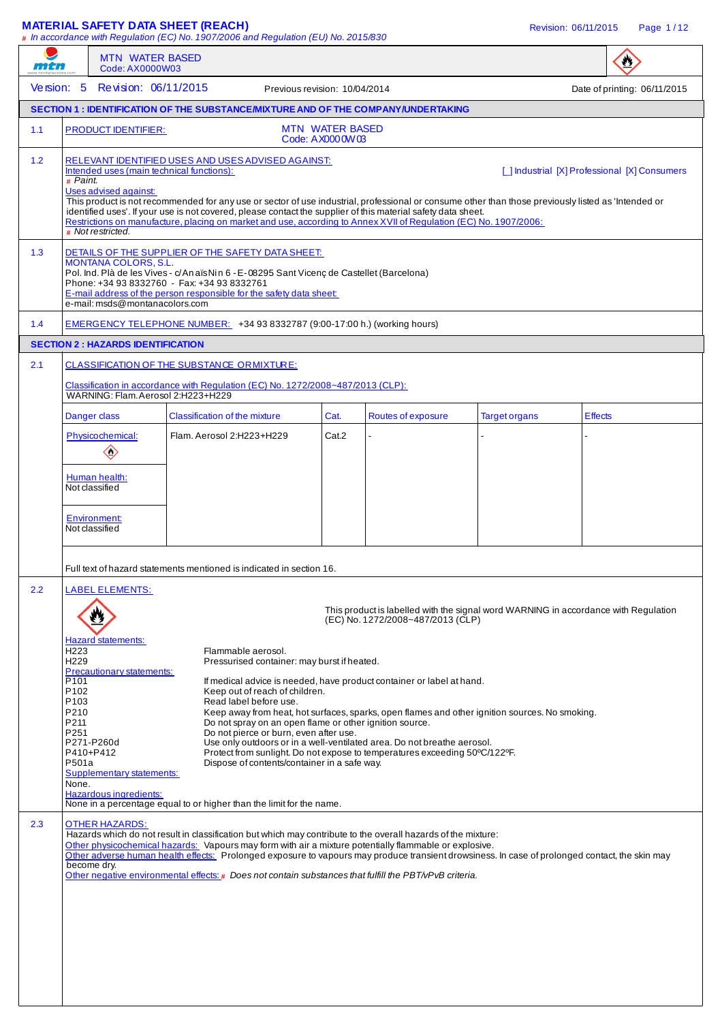**MATERIAL SAFETY DATA SHEET (REACH)** And the state of the state of the revision: 06/11/2015 Page 1/12 **#** In accordance with Regulation (EC) No. 1907/2006 and Regulation (EU) No. 2015/830 MTN WATER BASED  $\bullet$ mtn Code: AX0000W03 Version: 5 Revision: 06/11/2015 Previous revision: 10/04/2014 Date of printing: 06/11/2015 **SECTION 1 : IDENTIFICATION OF THE SUBSTANCE/MIXTURE AND OF THE COMPANY/UNDERTAKING**  1.1 PRODUCT IDENTIFIER: MTN WATER BASED Code: AX0000W03 1.2 RELEVANT IDENTIFIED USES AND USES ADVISED AGAINST:<br>Intended uses (main technical functions): [ ] Industrial [X] Professional [X] Consumers **#** Paint. Uses advised against: This product is not recommended for any use or sector of use industrial, professional or consume other than those previously listed as 'Intended or identified uses'. If your use is not covered, please contact the supplier of this material safety data sheet. Restrictions on manufacture, placing on market and use, according to Annex XVII of Regulation (EC) No. 1907/2006: **#** Not restricted. 1.3 DETAILS OF THE SUPPLIER OF THE SAFETY DATA SHEET: MONTANA COLORS, S.L. Pol. Ind. Plà de les Vives - c/ An aïs Nin 6 - E- 08295 Sant Vicenç de Castellet (Barcelona) Phone: +34 93 8332760 - Fax: +34 93 8332761 E-mail address of the person responsible for the safety data sheet: e-mail: msds@montanacolors.com 1.4 EMERGENCY TELEPHONE NUMBER: +34 93 8332787 (9:00-17:00 h.) (working hours) **SECTION 2 : HAZARDS IDENTIFICATION** 2.1 CLASSIFICATION OF THE SUBSTANCE ORMIXTURE: Insification in accordance with Regulation (EC) No. 1272/2008~487/2013 (CLP): WARNING: Flam. Aerosol 2:H223+H229 Danger class Classification of the mixture Cat. Routes of exposure Target organs Effects Physicochemical: Flam. Aerosol 2:H223+H229  $\vert$  Cat.2  $\langle \rangle$ Human health: Not classified Environment: Not classified Full text of hazard statements mentioned is indicated in section 16. 2.2 LABEL ELEMENTS: This product is labelled with the signal word WARNING in accordance with Regulation ₩ (EC) No. 1272/2008~487/2013 (CLP) Hazard statements:<br>H223 H223 Flammable aerosol.<br>H229 Flammable aerosol. Pressurised container: may burst if heated. **Precautionary statements:**<br>P101 P101 **If medical advice is needed, have product container or label at hand.**<br>P102 **If medical advice is needed** of children. P102 Keep out of reach of children.<br>P103 Read label before use. P103 Read label before use.<br>P210 Reep away from heat, h P210 Keep away from heat, hot surfaces, sparks, open flames and other ignition sources. No smoking.<br>P211 P211 Do not spray on an open flame or other ignition source. Do not spray on an open flame or other ignition source. P251 **Do not pierce or burn, even after use.**<br>P271-P260d Use only outdoors or in a well-ventilat P271-P260d Use only outdoors or in a well-ventilated area. Do not breathe aerosol. P410+P412 Protect from sunlight. Do not expose to temperatures exceeding 50°C/122°F.<br>P501a P501a Dispose of contents/container in a safe way. Supplementary statements: None. Hazardous ingredients: None in a percentage equal to or higher than the limit for the name. 2.3 OTHER HAZARDS Hazards which do not result in classification but which may contribute to the overall hazards of the mixture: Other physicochemical hazards: Vapours may form with air a mixture potentially flammable or explosive. Other adverse human health effects: Prolonged exposure to vapours may produce transient drowsiness. In case of prolonged contact, the skin may become dry. Other negative environmental effects: **#** Does not contain substances that fulfill the PBT/vPvB criteria.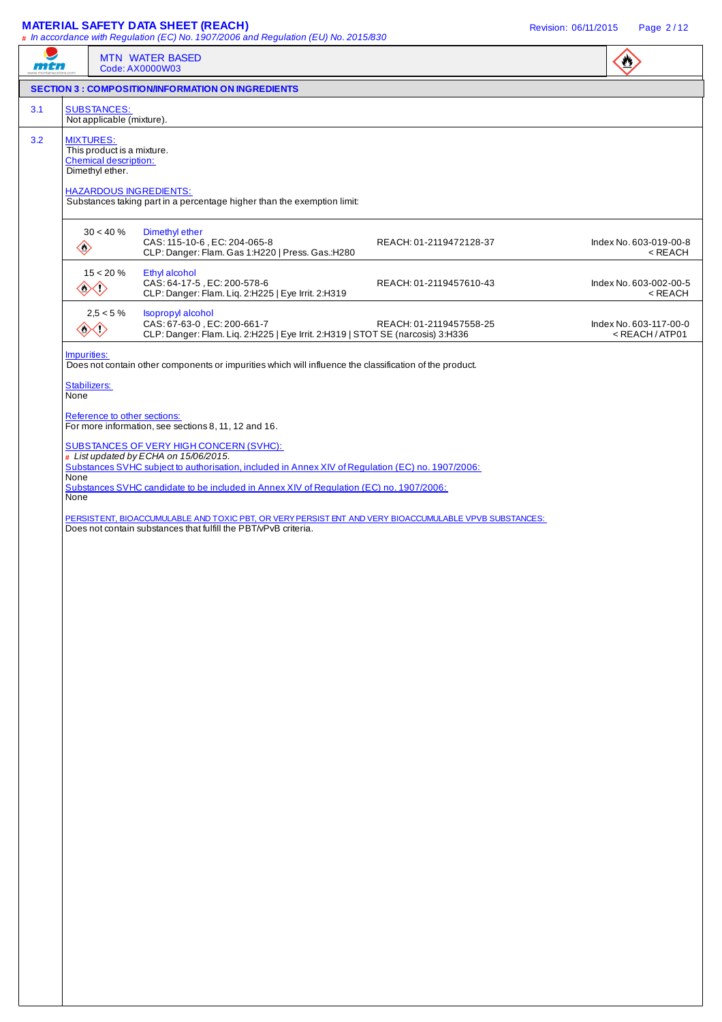### **MATERIAL SAFETY DATA SHEET (REACH)** Revision: 06/11/2015 Page 2 / 12

|     |                      | <b>MTN WATER BASED</b><br>Code: AX0000W03                                                                                                                                                    |                                                                                |                         | $\bullet$                                                 |
|-----|----------------------|----------------------------------------------------------------------------------------------------------------------------------------------------------------------------------------------|--------------------------------------------------------------------------------|-------------------------|-----------------------------------------------------------|
|     |                      | <b>SECTION 3 : COMPOSITION/INFORMATION ON INGREDIENTS</b>                                                                                                                                    |                                                                                |                         |                                                           |
| 3.1 |                      | <b>SUBSTANCES:</b><br>Not applicable (mixture).                                                                                                                                              |                                                                                |                         |                                                           |
| 3.2 | <b>MIXTURES:</b>     | This product is a mixture.<br><b>Chemical description:</b><br>Dimethyl ether.<br><b>HAZARDOUS INGREDIENTS:</b><br>Substances taking part in a percentage higher than the exemption limit:    |                                                                                |                         |                                                           |
|     | $\diamondsuit$       | $30 < 40 \%$<br>Dimethyl ether<br>CAS: 115-10-6, EC: 204-065-8<br>CLP: Danger: Flam. Gas 1:H220   Press. Gas.:H280                                                                           |                                                                                | REACH: 01-2119472128-37 | Index No. 603-019-00-8<br>$<$ REACH                       |
|     |                      | $15 < 20 \%$<br>Ethyl alcohol<br>CAS: 64-17-5, EC: 200-578-6<br>◇◇<br>CLP: Danger: Flam. Liq. 2:H225   Eye Irrit. 2:H319                                                                     |                                                                                | REACH: 01-2119457610-43 | Index No. 603-002-00-5<br>$<$ REACH                       |
|     |                      | $2,5 < 5 \%$<br><b>Isopropyl alcohol</b><br>CAS: 67-63-0, EC: 200-661-7<br>◈                                                                                                                 | CLP: Danger: Flam. Liq. 2:H225   Eye Irrit. 2:H319   STOT SE (narcosis) 3:H336 | REACH: 01-2119457558-25 | Index No. 603-117-00-0<br><reach atp01<="" td=""></reach> |
|     | Impurities:          | Does not contain other components or impurities which will influence the classification of the product.                                                                                      |                                                                                |                         |                                                           |
|     | Stabilizers:<br>None |                                                                                                                                                                                              |                                                                                |                         |                                                           |
|     |                      | Reference to other sections:<br>For more information, see sections 8, 11, 12 and 16.                                                                                                         |                                                                                |                         |                                                           |
|     | None                 | <b>SUBSTANCES OF VERY HIGH CONCERN (SVHC):</b><br># List updated by ECHA on 15/06/2015.<br>Substances SVHC subject to authorisation, included in Annex XIV of Regulation (EC) no. 1907/2006: |                                                                                |                         |                                                           |
|     | None                 | Substances SVHC candidate to be included in Annex XIV of Regulation (EC) no. 1907/2006:                                                                                                      |                                                                                |                         |                                                           |
|     |                      | PERSISTENT, BIOACCUMULABLE AND TOXIC PBT, OR VERY PERSIST ENT AND VERY BIOACCUMULABLE VPVB SUBSTANCES:<br>Does not contain substances that fulfill the PBT/VPvB criteria.                    |                                                                                |                         |                                                           |
|     |                      |                                                                                                                                                                                              |                                                                                |                         |                                                           |
|     |                      |                                                                                                                                                                                              |                                                                                |                         |                                                           |
|     |                      |                                                                                                                                                                                              |                                                                                |                         |                                                           |
|     |                      |                                                                                                                                                                                              |                                                                                |                         |                                                           |
|     |                      |                                                                                                                                                                                              |                                                                                |                         |                                                           |
|     |                      |                                                                                                                                                                                              |                                                                                |                         |                                                           |
|     |                      |                                                                                                                                                                                              |                                                                                |                         |                                                           |
|     |                      |                                                                                                                                                                                              |                                                                                |                         |                                                           |
|     |                      |                                                                                                                                                                                              |                                                                                |                         |                                                           |
|     |                      |                                                                                                                                                                                              |                                                                                |                         |                                                           |
|     |                      |                                                                                                                                                                                              |                                                                                |                         |                                                           |
|     |                      |                                                                                                                                                                                              |                                                                                |                         |                                                           |
|     |                      |                                                                                                                                                                                              |                                                                                |                         |                                                           |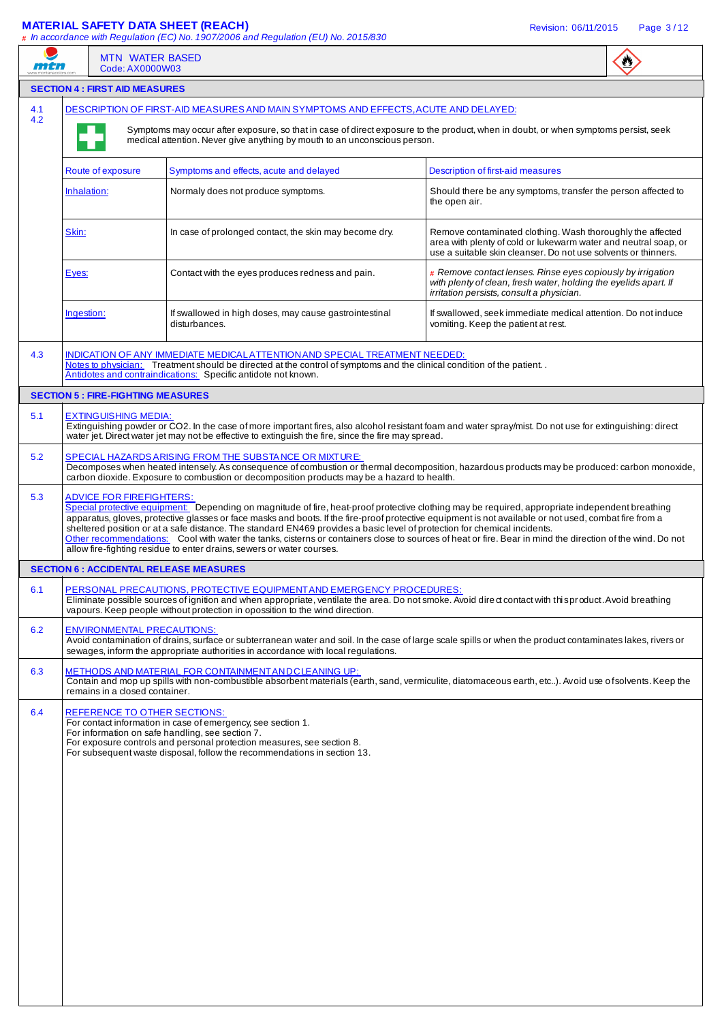## **MATERIAL SAFETY DATA SHEET (REACH)** Revision: 06/11/2015 Page 3 / 12

| men |                                           | <b>MTN WATER BASED</b><br>Code: AX0000W03                                                                                                                                                                                                                                                                                                                                                                                                                                                                                                                                                                                                                                    |                                                                                                                                                                                                 |  |
|-----|-------------------------------------------|------------------------------------------------------------------------------------------------------------------------------------------------------------------------------------------------------------------------------------------------------------------------------------------------------------------------------------------------------------------------------------------------------------------------------------------------------------------------------------------------------------------------------------------------------------------------------------------------------------------------------------------------------------------------------|-------------------------------------------------------------------------------------------------------------------------------------------------------------------------------------------------|--|
|     | <b>SECTION 4 : FIRST AID MEASURES</b>     |                                                                                                                                                                                                                                                                                                                                                                                                                                                                                                                                                                                                                                                                              |                                                                                                                                                                                                 |  |
| 4.1 |                                           | DESCRIPTION OF FIRST-AID MEASURES AND MAIN SYMPTOMS AND EFFECTS, ACUTE AND DELAYED:                                                                                                                                                                                                                                                                                                                                                                                                                                                                                                                                                                                          |                                                                                                                                                                                                 |  |
| 4.2 |                                           | Symptoms may occur after exposure, so that in case of direct exposure to the product, when in doubt, or when symptoms persist, seek<br>medical attention. Never give anything by mouth to an unconscious person.                                                                                                                                                                                                                                                                                                                                                                                                                                                             |                                                                                                                                                                                                 |  |
|     | Route of exposure                         | Symptoms and effects, acute and delayed                                                                                                                                                                                                                                                                                                                                                                                                                                                                                                                                                                                                                                      | Description of first-aid measures                                                                                                                                                               |  |
|     | Inhalation:                               | Normaly does not produce symptoms.                                                                                                                                                                                                                                                                                                                                                                                                                                                                                                                                                                                                                                           | Should there be any symptoms, transfer the person affected to<br>the open air.                                                                                                                  |  |
|     | Skin:                                     | In case of prolonged contact, the skin may become dry.                                                                                                                                                                                                                                                                                                                                                                                                                                                                                                                                                                                                                       | Remove contaminated clothing. Wash thoroughly the affected<br>area with plenty of cold or lukewarm water and neutral soap, or<br>use a suitable skin cleanser. Do not use solvents or thinners. |  |
|     | Eyes:                                     | Contact with the eyes produces redness and pain.                                                                                                                                                                                                                                                                                                                                                                                                                                                                                                                                                                                                                             | $#$ Remove contact lenses. Rinse eyes copiously by irrigation<br>with plenty of clean, fresh water, holding the eyelids apart. If<br>irritation persists, consult a physician.                  |  |
|     | Ingestion:                                | If swallowed in high doses, may cause gastrointestinal<br>disturbances.                                                                                                                                                                                                                                                                                                                                                                                                                                                                                                                                                                                                      | If swallowed, seek immediate medical attention. Do not induce<br>vomiting. Keep the patient at rest.                                                                                            |  |
| 4.3 |                                           | INDICATION OF ANY IMMEDIATE MEDICAL ATTENTION AND SPECIAL TREATMENT NEEDED:<br>Notes to physician: Treatment should be directed at the control of symptoms and the clinical condition of the patient<br>Antidotes and contraindications: Specific antidote not known.                                                                                                                                                                                                                                                                                                                                                                                                        |                                                                                                                                                                                                 |  |
|     | <b>SECTION 5 : FIRE-FIGHTING MEASURES</b> |                                                                                                                                                                                                                                                                                                                                                                                                                                                                                                                                                                                                                                                                              |                                                                                                                                                                                                 |  |
| 5.1 | <b>EXTINGUISHING MEDIA:</b>               | Extinguishing powder or CO2. In the case of more important fires, also alcohol resistant foam and water spray/mist. Do not use for extinguishing: direct<br>water jet. Direct water jet may not be effective to extinguish the fire, since the fire may spread.                                                                                                                                                                                                                                                                                                                                                                                                              |                                                                                                                                                                                                 |  |
| 5.2 |                                           | SPECIAL HAZARDS ARISING FROM THE SUBSTANCE OR MIXTURE:<br>Decomposes when heated intensely. As consequence of combustion or thermal decomposition, hazardous products may be produced: carbon monoxide,<br>carbon dioxide. Exposure to combustion or decomposition products may be a hazard to health.                                                                                                                                                                                                                                                                                                                                                                       |                                                                                                                                                                                                 |  |
| 5.3 | <b>ADVICE FOR FIREFIGHTERS:</b>           | Special protective equipment: Depending on magnitude of fire, heat-proof protective clothing may be required, appropriate independent breathing<br>apparatus, gloves, protective glasses or face masks and boots. If the fire-proof protective equipment is not available or not used, combat fire from a<br>sheltered position or at a safe distance. The standard EN469 provides a basic level of protection for chemical incidents.<br>Other recommendations: Cool with water the tanks, cisterns or containers close to sources of heat or fire. Bear in mind the direction of the wind. Do not<br>allow fire-fighting residue to enter drains, sewers or water courses. |                                                                                                                                                                                                 |  |
|     |                                           | <b>SECTION 6 : ACCIDENTAL RELEASE MEASURES</b>                                                                                                                                                                                                                                                                                                                                                                                                                                                                                                                                                                                                                               |                                                                                                                                                                                                 |  |
| 6.1 |                                           | PERSONAL PRECAUTIONS, PROTECTIVE EQUIPMENT AND EMERGENCY PROCEDURES:<br>Eliminate possible sources of ignition and when appropriate, ventilate the area. Do not smoke. Avoid dired contact with this product. Avoid breathing<br>vapours. Keep people without protection in opossition to the wind direction.                                                                                                                                                                                                                                                                                                                                                                |                                                                                                                                                                                                 |  |
| 6.2 |                                           | <b>ENVIRONMENTAL PRECAUTIONS:</b><br>Avoid contamination of drains, surface or subterranean water and soil. In the case of large scale spills or when the product contaminates lakes, rivers or<br>sewages, inform the appropriate authorities in accordance with local regulations.                                                                                                                                                                                                                                                                                                                                                                                         |                                                                                                                                                                                                 |  |
| 6.3 | remains in a closed container.            | METHODS AND MATERIAL FOR CONTAINMENT AND CLEANING UP:<br>Contain and mop up spills with non-combustible absorbent materials (earth, sand, vermiculite, diatomaceous earth, etc). Avoid use of solvents. Keep the                                                                                                                                                                                                                                                                                                                                                                                                                                                             |                                                                                                                                                                                                 |  |
| 6.4 |                                           | REFERENCE TO OTHER SECTIONS:<br>For contact information in case of emergency, see section 1.<br>For information on safe handling, see section 7.<br>For exposure controls and personal protection measures, see section 8.<br>For subsequent waste disposal, follow the recommendations in section 13.                                                                                                                                                                                                                                                                                                                                                                       |                                                                                                                                                                                                 |  |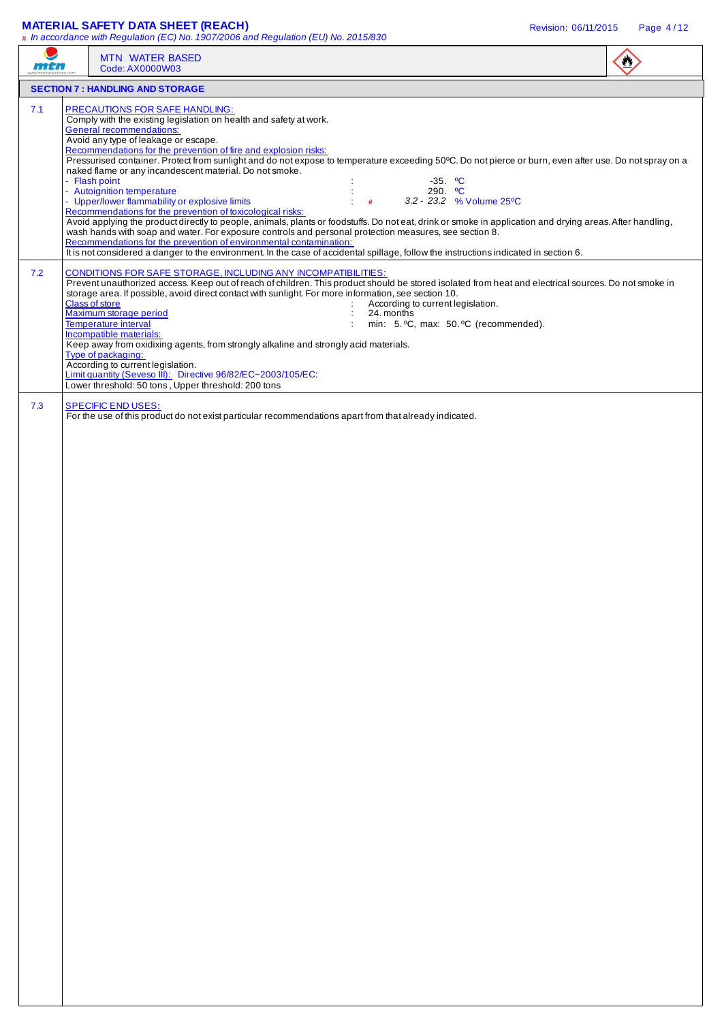## **MATERIAL SAFETY DATA SHEET (REACH)** Revision: 06/11/2015 Page 4 / 12

|     | <b>MTN WATER BASED</b><br>Code: AX0000W03                                                                                                                                                                                                                                                                                                                                                                                                                                                                                                                                                                                                                                                                                                                                                                                                                                                                                                                                                                                                                                                                                                                                                              |  |
|-----|--------------------------------------------------------------------------------------------------------------------------------------------------------------------------------------------------------------------------------------------------------------------------------------------------------------------------------------------------------------------------------------------------------------------------------------------------------------------------------------------------------------------------------------------------------------------------------------------------------------------------------------------------------------------------------------------------------------------------------------------------------------------------------------------------------------------------------------------------------------------------------------------------------------------------------------------------------------------------------------------------------------------------------------------------------------------------------------------------------------------------------------------------------------------------------------------------------|--|
|     | <b>SECTION 7: HANDLING AND STORAGE</b>                                                                                                                                                                                                                                                                                                                                                                                                                                                                                                                                                                                                                                                                                                                                                                                                                                                                                                                                                                                                                                                                                                                                                                 |  |
| 7.1 | <b>PRECAUTIONS FOR SAFE HANDLING:</b><br>Comply with the existing legislation on health and safety at work.<br><b>General recommendations:</b><br>Avoid any type of leakage or escape.<br>Recommendations for the prevention of fire and explosion risks:<br>Pressurised container. Protect from sunlight and do not expose to temperature exceeding 50°C. Do not pierce or burn, even after use. Do not spray on a<br>naked flame or any incandescent material. Do not smoke.<br>- Flash point<br>$-35.$ °C<br>- Autoignition temperature<br>290. $^{\circ}$ C<br>- Upper/lower flammability or explosive limits<br>3.2 - 23.2 % Volume 25°C<br>#<br>Recommendations for the prevention of toxicological risks:<br>Avoid applying the product directly to people, animals, plants or foodstuffs. Do not eat, drink or smoke in application and drying areas. After handling,<br>wash hands with soap and water. For exposure controls and personal protection measures, see section 8.<br>Recommendations for the prevention of environmental contamination:<br>It is not considered a danger to the environment. In the case of accidental spillage, follow the instructions indicated in section 6. |  |
| 7.2 | CONDITIONS FOR SAFE STORAGE, INCLUDING ANY INCOMPATIBILITIES:<br>Prevent unauthorized access. Keep out of reach of children. This product should be stored isolated from heat and electrical sources. Do not smoke in<br>storage area. If possible, avoid direct contact with sunlight. For more information, see section 10.<br><b>Class of store</b><br>According to current legislation.<br>Maximum storage period<br>24. months<br><b>Temperature interval</b><br>min: 5. °C, max: 50. °C (recommended).<br>Incompatible materials:<br>Keep away from oxidixing agents, from strongly alkaline and strongly acid materials.<br>Type of packaging:<br>According to current legislation.<br>Limit quantity (Seveso III): Directive 96/82/EC~2003/105/EC:<br>Lower threshold: 50 tons, Upper threshold: 200 tons                                                                                                                                                                                                                                                                                                                                                                                      |  |
| 7.3 | <b>SPECIFIC END USES:</b><br>For the use of this product do not exist particular recommendations apart from that already indicated.                                                                                                                                                                                                                                                                                                                                                                                                                                                                                                                                                                                                                                                                                                                                                                                                                                                                                                                                                                                                                                                                    |  |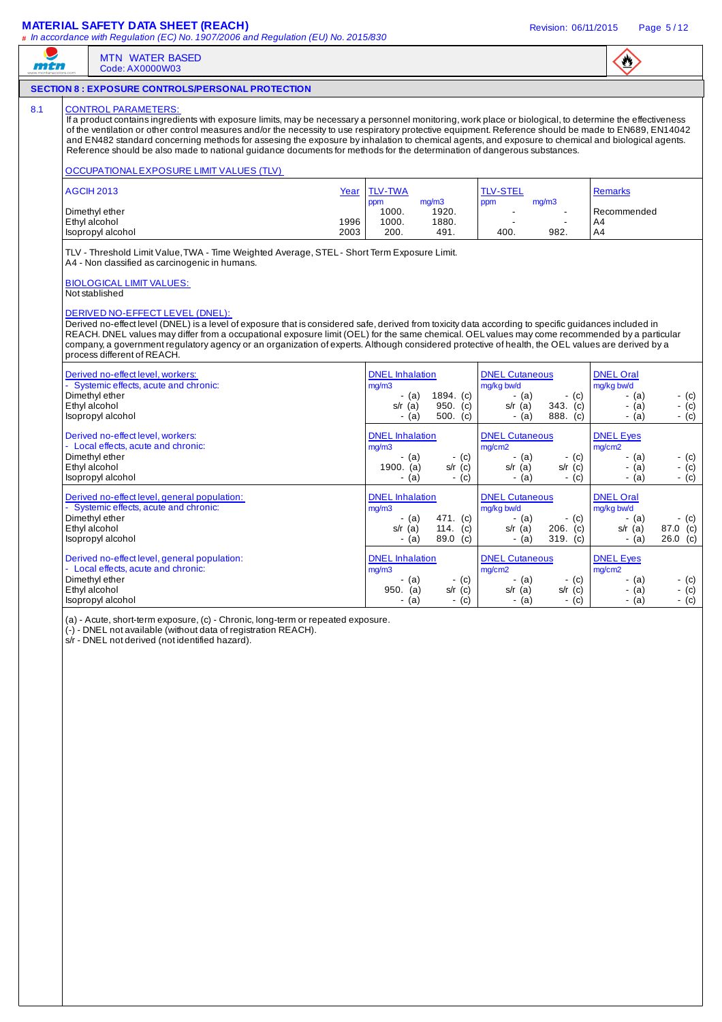## **MATERIAL SAFETY DATA SHEET (REACH)** Revision: 06/11/2015 Page 5 / 12

| <b>MTN WATER BASED</b><br>Code: AX0000W03                                                                                                                                                                                                                                                                                                                                                                                                                                                                                                                                                                                                                                    |              |                                                                  |                                     |                                                                      |                                 | $\mathbf{C}$                                                  |                                 |
|------------------------------------------------------------------------------------------------------------------------------------------------------------------------------------------------------------------------------------------------------------------------------------------------------------------------------------------------------------------------------------------------------------------------------------------------------------------------------------------------------------------------------------------------------------------------------------------------------------------------------------------------------------------------------|--------------|------------------------------------------------------------------|-------------------------------------|----------------------------------------------------------------------|---------------------------------|---------------------------------------------------------------|---------------------------------|
| <b>SECTION 8: EXPOSURE CONTROLS/PERSONAL PROTECTION</b>                                                                                                                                                                                                                                                                                                                                                                                                                                                                                                                                                                                                                      |              |                                                                  |                                     |                                                                      |                                 |                                                               |                                 |
| <b>CONTROL PARAMETERS:</b><br>If a product contains ingredients with exposure limits, may be necessary a personnel monitoring, work place or biological, to determine the effectiveness<br>of the ventilation or other control measures and/or the necessity to use respiratory protective equipment. Reference should be made to EN689, EN14042<br>and EN482 standard concerning methods for assesing the exposure by inhalation to chemical agents, and exposure to chemical and biological agents.<br>Reference should be also made to national guidance documents for methods for the determination of dangerous substances.<br>OCCUPATIONAL EXPOSURE LIMIT VALUES (TLV) |              |                                                                  |                                     |                                                                      |                                 |                                                               |                                 |
| <b>AGCIH 2013</b>                                                                                                                                                                                                                                                                                                                                                                                                                                                                                                                                                                                                                                                            | Year         | <b>TLV-TWA</b><br>ppm                                            | mg/m3                               | <b>TLV-STEL</b><br>ppm                                               | mg/m3                           | <b>Remarks</b>                                                |                                 |
| Dimethyl ether<br>Ethyl alcohol<br>Isopropyl alcohol                                                                                                                                                                                                                                                                                                                                                                                                                                                                                                                                                                                                                         | 1996<br>2003 | 1000.<br>1000.<br>200.                                           | 1920.<br>1880.<br>491.              | $\blacksquare$<br>400.                                               | $\blacksquare$<br>982.          | Recommended<br>A4<br>A4                                       |                                 |
| <b>BIOLOGICAL LIMIT VALUES:</b><br>Not stablished<br>DERIVED NO-EFFECT LEVEL (DNEL):<br>Derived no-effect level (DNEL) is a level of exposure that is considered safe, derived from toxicity data according to specific guidances included in<br>REACH. DNEL values may differ from a occupational exposure limit (OEL) for the same chemical. OEL values may come recommended by a particular<br>company, a government regulatory agency or an organization of experts. Although considered protective of health, the OEL values are derived by a<br>process different of REACH.                                                                                            |              |                                                                  |                                     |                                                                      |                                 |                                                               |                                 |
|                                                                                                                                                                                                                                                                                                                                                                                                                                                                                                                                                                                                                                                                              |              |                                                                  |                                     |                                                                      |                                 |                                                               |                                 |
| Derived no-effect level, workers:<br>- Systemic effects, acute and chronic:<br>Dimethyl ether<br>Ethyl alcohol<br>Isopropyl alcohol                                                                                                                                                                                                                                                                                                                                                                                                                                                                                                                                          |              | <b>DNEL</b> Inhalation<br>mg/m3<br>- (a)<br>$s/r$ (a)<br>$-$ (a) | 1894. (c)<br>950. (c)<br>500. $(c)$ | <b>DNEL Cutaneous</b><br>mg/kg bw/d<br>- (a)<br>$s/r$ (a)<br>$-$ (a) | $-$ (c)<br>343. (c)<br>888. (c) | <b>DNEL Oral</b><br>mg/kg bw/d<br>- (a)<br>- (a)<br>- (a)     | - (c)<br>$-$ (c)<br>$-$ (c)     |
| Derived no-effect level, workers:<br>- Local effects, acute and chronic:<br>Dimethyl ether<br>Ethyl alcohol<br>Isopropyl alcohol                                                                                                                                                                                                                                                                                                                                                                                                                                                                                                                                             |              | <b>DNEL</b> Inhalation<br>mg/m3<br>- (a)<br>1900. $(a)$<br>- (a) | - (c)<br>$s/r$ (c)<br>$-$ (c)       | <b>DNEL Cutaneous</b><br>mg/cm2<br>- (a)<br>$s/r$ (a)<br>$-$ (a)     | $-$ (c)<br>$s/r$ (c)<br>$-$ (c) | <b>DNEL Eyes</b><br>mg/cm2<br>- (a)<br>- (a)<br>- (a)         | - (c)<br>- (c)<br>$-$ (c)       |
| Derived no-effect level, general population:<br>- Systemic effects, acute and chronic:<br>Dimethyl ether<br>Ethyl alcohol<br>Isopropyl alcohol                                                                                                                                                                                                                                                                                                                                                                                                                                                                                                                               |              | <b>DNEL</b> Inhalation<br>mg/m3<br>- (a)<br>$s/r$ (a)<br>- (a)   | 471. (c)<br>114. $(c)$<br>89.0 (c)  | <b>DNEL Cutaneous</b><br>mg/kg bw/d<br>- (a)<br>$s/r$ (a)<br>$-$ (a) | - (c)<br>$206.$ (c)<br>319. (c) | <b>DNEL Oral</b><br>mg/kg bw/d<br>- (a)<br>$s/r$ (a)<br>- (a) | - (c)<br>87.0 (c)<br>$26.0$ (c) |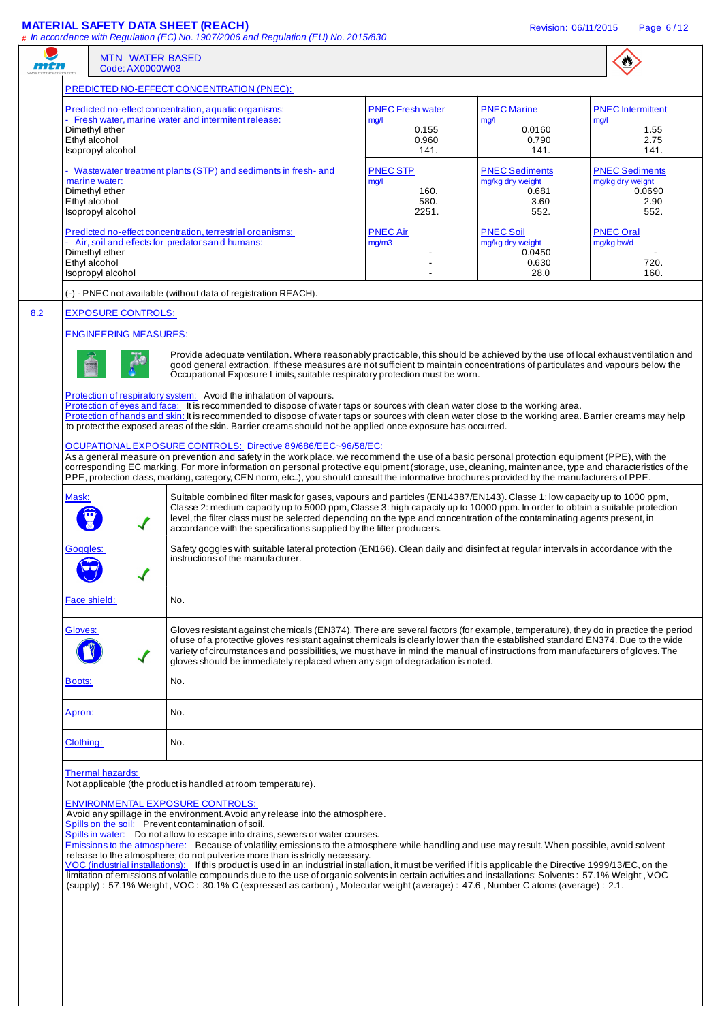## **MATERIAL SAFETY DATA SHEET (REACH)** Revision: 06/11/2015 Page 6 / 12

 $\ddot{w}$ 

|                                                                       | Code: AX0000W03                                                                                                                                                                                                                                                                                                                                                                                                                                                                                                                                                                                                                                                                                                                                                                                                                                                                                                                                                                                                                                                                                                                                                                        |                                                           |                                                                                                                                                       | $\bullet$                                                           |
|-----------------------------------------------------------------------|----------------------------------------------------------------------------------------------------------------------------------------------------------------------------------------------------------------------------------------------------------------------------------------------------------------------------------------------------------------------------------------------------------------------------------------------------------------------------------------------------------------------------------------------------------------------------------------------------------------------------------------------------------------------------------------------------------------------------------------------------------------------------------------------------------------------------------------------------------------------------------------------------------------------------------------------------------------------------------------------------------------------------------------------------------------------------------------------------------------------------------------------------------------------------------------|-----------------------------------------------------------|-------------------------------------------------------------------------------------------------------------------------------------------------------|---------------------------------------------------------------------|
|                                                                       | PREDICTED NO-EFFECT CONCENTRATION (PNEC):                                                                                                                                                                                                                                                                                                                                                                                                                                                                                                                                                                                                                                                                                                                                                                                                                                                                                                                                                                                                                                                                                                                                              |                                                           |                                                                                                                                                       |                                                                     |
| Dimethyl ether<br>Ethyl alcohol<br>Isopropyl alcohol                  | Predicted no-effect concentration, aquatic organisms:<br>- Fresh water, marine water and intermitent release:                                                                                                                                                                                                                                                                                                                                                                                                                                                                                                                                                                                                                                                                                                                                                                                                                                                                                                                                                                                                                                                                          | <b>PNEC Fresh water</b><br>mq/1<br>0.155<br>0.960<br>141. | <b>PNEC Marine</b><br>mg/l<br>0.0160<br>0.790<br>141.                                                                                                 | <b>PNEC</b> Intermittent<br>mq/1<br>1.55<br>2.75<br>141.            |
| marine water:<br>Dimethyl ether<br>Ethyl alcohol<br>Isopropyl alcohol | - Wastewater treatment plants (STP) and sediments in fresh- and                                                                                                                                                                                                                                                                                                                                                                                                                                                                                                                                                                                                                                                                                                                                                                                                                                                                                                                                                                                                                                                                                                                        | <b>PNEC STP</b><br>mg/l<br>160.<br>580.<br>2251.          | <b>PNEC Sediments</b><br>mg/kg dry weight<br>0.681<br>3.60<br>552.                                                                                    | <b>PNEC Sediments</b><br>mg/kg dry weight<br>0.0690<br>2.90<br>552. |
| Dimethyl ether<br>Ethyl alcohol                                       | Predicted no-effect concentration, terrestrial organisms:<br>- Air, soil and effects for predator s and humans:                                                                                                                                                                                                                                                                                                                                                                                                                                                                                                                                                                                                                                                                                                                                                                                                                                                                                                                                                                                                                                                                        | <b>PNEC Air</b><br>mg/m3                                  | <b>PNEC Soil</b><br>mg/kg dry weight<br>0.0450<br>0.630                                                                                               | <b>PNEC Oral</b><br>mg/kg bw/d<br>720.                              |
| Isopropyl alcohol                                                     |                                                                                                                                                                                                                                                                                                                                                                                                                                                                                                                                                                                                                                                                                                                                                                                                                                                                                                                                                                                                                                                                                                                                                                                        |                                                           | 28.0                                                                                                                                                  | 160.                                                                |
|                                                                       | (-) - PNEC not available (without data of registration REACH).                                                                                                                                                                                                                                                                                                                                                                                                                                                                                                                                                                                                                                                                                                                                                                                                                                                                                                                                                                                                                                                                                                                         |                                                           |                                                                                                                                                       |                                                                     |
| <b>EXPOSURE CONTROLS:</b><br><b>ENGINEERING MEASURES:</b>             | Provide adequate ventilation. Where reasonably practicable, this should be achieved by the use of local exhaust ventilation and<br>good general extraction. If these measures are not sufficient to maintain concentrations of particulates and vapours below the<br>Occupational Exposure Limits, suitable respiratory protection must be worn.                                                                                                                                                                                                                                                                                                                                                                                                                                                                                                                                                                                                                                                                                                                                                                                                                                       |                                                           |                                                                                                                                                       |                                                                     |
| Mask:                                                                 | Protection of hands and skin: It is recommended to dispose of water taps or sources with clean water close to the working area. Barrier creams may help<br>to protect the exposed areas of the skin. Barrier creams should not be applied once exposure has occurred.<br>OCUPATIONAL EXPOSURE CONTROLS: Directive 89/686/EEC~96/58/EC:<br>As a general measure on prevention and safety in the work place, we recommend the use of a basic personal protection equipment (PPE), with the<br>corresponding EC marking. For more information on personal protective equipment (storage, use, cleaning, maintenance, type and characteristics of the<br>PPE, protection class, marking, category, CEN norm, etc), you should consult the informative brochures provided by the manufacturers of PPE.<br>Suitable combined filter mask for gases, vapours and particles (EN14387/EN143). Classe 1: low capacity up to 1000 ppm,<br>Classe 2: medium capacity up to 5000 ppm, Classe 3: high capacity up to 10000 ppm. In order to obtain a suitable protection<br>level, the filter class must be selected depending on the type and concentration of the contaminating agents present, in |                                                           |                                                                                                                                                       |                                                                     |
| $\blacktriangledown$<br>Goggles:                                      | accordance with the specifications supplied by the filter producers.<br>Safety goggles with suitable lateral protection (EN166). Clean daily and disinfect at regular intervals in accordance with the<br>instructions of the manufacturer.                                                                                                                                                                                                                                                                                                                                                                                                                                                                                                                                                                                                                                                                                                                                                                                                                                                                                                                                            |                                                           |                                                                                                                                                       |                                                                     |
| Face shield:                                                          | No.                                                                                                                                                                                                                                                                                                                                                                                                                                                                                                                                                                                                                                                                                                                                                                                                                                                                                                                                                                                                                                                                                                                                                                                    |                                                           |                                                                                                                                                       |                                                                     |
| Gloves:                                                               | Gloves resistant against chemicals (EN374). There are several factors (for example, temperature), they do in practice the period<br>of use of a protective gloves resistant against chemicals is clearly lower than the established standard EN374. Due to the wide<br>variety of circumstances and possibilities, we must have in mind the manual of instructions from manufacturers of gloves. The<br>gloves should be immediately replaced when any sign of degradation is noted.                                                                                                                                                                                                                                                                                                                                                                                                                                                                                                                                                                                                                                                                                                   |                                                           |                                                                                                                                                       |                                                                     |
| Boots:                                                                | No.                                                                                                                                                                                                                                                                                                                                                                                                                                                                                                                                                                                                                                                                                                                                                                                                                                                                                                                                                                                                                                                                                                                                                                                    |                                                           |                                                                                                                                                       |                                                                     |
| Apron:                                                                | No.                                                                                                                                                                                                                                                                                                                                                                                                                                                                                                                                                                                                                                                                                                                                                                                                                                                                                                                                                                                                                                                                                                                                                                                    |                                                           |                                                                                                                                                       |                                                                     |
| Clothing:                                                             | No.                                                                                                                                                                                                                                                                                                                                                                                                                                                                                                                                                                                                                                                                                                                                                                                                                                                                                                                                                                                                                                                                                                                                                                                    |                                                           |                                                                                                                                                       |                                                                     |
| Thermal hazards:                                                      | Not applicable (the product is handled at room temperature).<br><b>ENVIRONMENTAL EXPOSURE CONTROLS:</b><br>Avoid any spillage in the environment. Avoid any release into the atmosphere.<br>Spills on the soil: Prevent contamination of soil.<br>Spills in water: Do not allow to escape into drains, sewers or water courses.<br>Emissions to the atmosphere: Because of volatility, emissions to the atmosphere while handling and use may result. When possible, avoid solvent<br>release to the atmosphere; do not pulverize more than is strictly necessary.<br>VOC (industrial installations): If this product is used in an industrial installation, it must be verified if it is applicable the Directive 1999/13/EC, on the                                                                                                                                                                                                                                                                                                                                                                                                                                                  |                                                           | limitation of emissions of volatile compounds due to the use of organic solvents in certain activities and installations: Solvents: 57.1% Weight, VOC |                                                                     |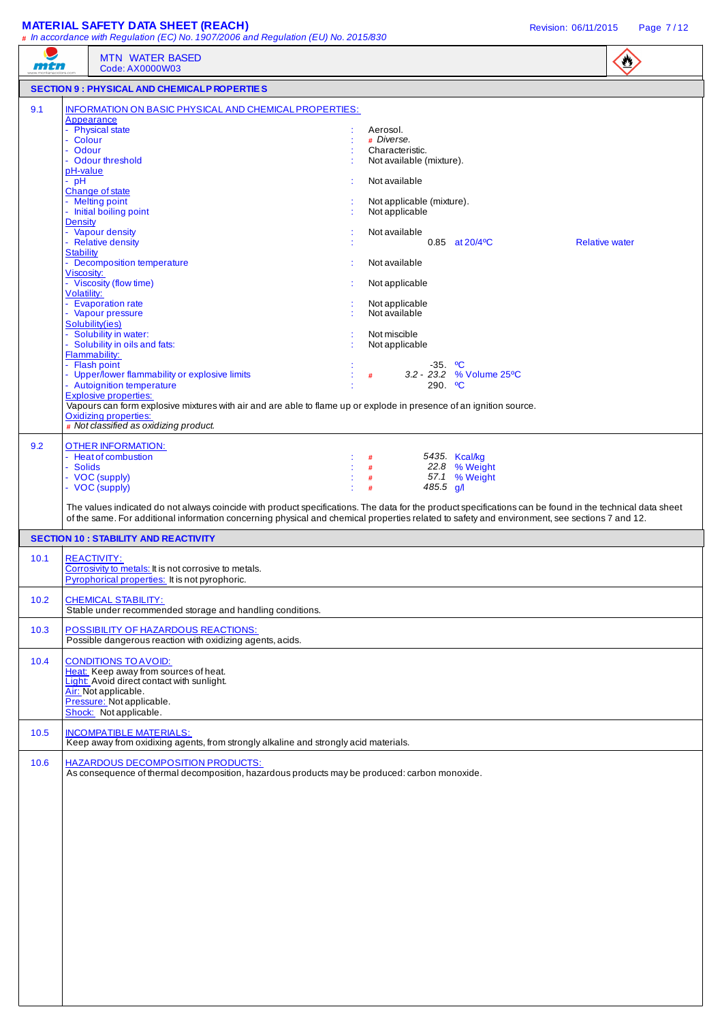## **MATERIAL SAFETY DATA SHEET (REACH) Revision: 06/11/2015** Page 7/12

|      | # In accordance with Regulation (EC) No. 1907/2006 and Regulation (EU) No. 2015/830<br><b>MTN WATER BASED</b>                                                                                                                                                                                              |                                           |                   |                                 |                       | $\mathbf{C}$ |
|------|------------------------------------------------------------------------------------------------------------------------------------------------------------------------------------------------------------------------------------------------------------------------------------------------------------|-------------------------------------------|-------------------|---------------------------------|-----------------------|--------------|
| mtn  | Code: AX0000W03                                                                                                                                                                                                                                                                                            |                                           |                   |                                 |                       |              |
|      | <b>SECTION 9: PHYSICAL AND CHEMICALP ROPERTIES</b>                                                                                                                                                                                                                                                         |                                           |                   |                                 |                       |              |
| 9.1  | INFORMATION ON BASIC PHYSICAL AND CHEMICAL PROPERTIES:<br>Appearance<br>- Physical state<br>- Colour<br>Odour                                                                                                                                                                                              | Aerosol.<br># Diverse.<br>Characteristic. |                   |                                 |                       |              |
|      | - Odour threshold<br>pH-value<br>$-$ pH                                                                                                                                                                                                                                                                    | Not available (mixture).<br>Not available |                   |                                 |                       |              |
|      | Change of state<br>- Melting point                                                                                                                                                                                                                                                                         | Not applicable (mixture).                 |                   |                                 |                       |              |
|      | - Initial boiling point<br><b>Density</b><br>- Vapour density                                                                                                                                                                                                                                              | Not applicable<br>Not available           |                   |                                 |                       |              |
|      | - Relative density<br><b>Stability</b><br><b>Decomposition temperature</b>                                                                                                                                                                                                                                 | Not available                             |                   | $0.85$ at $20/4$ <sup>o</sup> C | <b>Relative water</b> |              |
|      | Viscosity:<br>- Viscosity (flow time)<br><b>Volatility:</b>                                                                                                                                                                                                                                                | Not applicable                            |                   |                                 |                       |              |
|      | <b>Evaporation rate</b><br>- Vapour pressure<br>Solubility(ies)                                                                                                                                                                                                                                            | Not applicable<br>Not available           |                   |                                 |                       |              |
|      | Solubility in water:<br>- Solubility in oils and fats:<br>Flammability:                                                                                                                                                                                                                                    | Not miscible<br>Not applicable            |                   |                                 |                       |              |
|      | <b>Flash point</b><br>- Upper/lower flammability or explosive limits<br>- Autoignition temperature                                                                                                                                                                                                         | #                                         | $-35.$ °C<br>290. | 3.2 - 23.2 % Volume 25°C<br>℃   |                       |              |
|      | <b>Explosive properties:</b><br>Vapours can form explosive mixtures with air and are able to flame up or explode in presence of an ignition source.<br><b>Oxidizing properties:</b><br># Not classified as oxidizing product.                                                                              |                                           |                   |                                 |                       |              |
| 9.2  | <b>OTHER INFORMATION:</b><br>- Heat of combustion                                                                                                                                                                                                                                                          | #                                         |                   | 5435. Kcal/kg                   |                       |              |
|      | - Solids<br>- VOC (supply)<br>- VOC (supply)                                                                                                                                                                                                                                                               | #<br>#<br>#                               | 485.5 $g/\ell$    | 22.8 % Weight<br>57.1 % Weight  |                       |              |
|      | The values indicated do not always coincide with product specifications. The data for the product specifications can be found in the technical data sheet<br>of the same. For additional information concerning physical and chemical properties related to safety and environment, see sections 7 and 12. |                                           |                   |                                 |                       |              |
|      | <b>SECTION 10: STABILITY AND REACTIVITY</b>                                                                                                                                                                                                                                                                |                                           |                   |                                 |                       |              |
| 10.1 | <b>REACTIVITY:</b><br>Corrosivity to metals: It is not corrosive to metals.<br>Pyrophorical properties: It is not pyrophoric.                                                                                                                                                                              |                                           |                   |                                 |                       |              |
| 10.2 | <b>CHEMICAL STABILITY:</b><br>Stable under recommended storage and handling conditions.                                                                                                                                                                                                                    |                                           |                   |                                 |                       |              |
| 10.3 | POSSIBILITY OF HAZARDOUS REACTIONS:<br>Possible dangerous reaction with oxidizing agents, acids.                                                                                                                                                                                                           |                                           |                   |                                 |                       |              |
| 10.4 | <b>CONDITIONS TO AVOID:</b><br>Heat: Keep away from sources of heat.<br>Light: Avoid direct contact with sunlight.<br>Air: Not applicable.<br>Pressure: Not applicable.<br>Shock: Not applicable.                                                                                                          |                                           |                   |                                 |                       |              |
| 10.5 | <b>INCOMPATIBLE MATERIALS:</b><br>Keep away from oxidixing agents, from strongly alkaline and strongly acid materials.                                                                                                                                                                                     |                                           |                   |                                 |                       |              |
| 10.6 | <b>HAZARDOUS DECOMPOSITION PRODUCTS:</b><br>As consequence of thermal decomposition, hazardous products may be produced: carbon monoxide.                                                                                                                                                                  |                                           |                   |                                 |                       |              |
|      |                                                                                                                                                                                                                                                                                                            |                                           |                   |                                 |                       |              |
|      |                                                                                                                                                                                                                                                                                                            |                                           |                   |                                 |                       |              |
|      |                                                                                                                                                                                                                                                                                                            |                                           |                   |                                 |                       |              |
|      |                                                                                                                                                                                                                                                                                                            |                                           |                   |                                 |                       |              |
|      |                                                                                                                                                                                                                                                                                                            |                                           |                   |                                 |                       |              |
|      |                                                                                                                                                                                                                                                                                                            |                                           |                   |                                 |                       |              |
|      |                                                                                                                                                                                                                                                                                                            |                                           |                   |                                 |                       |              |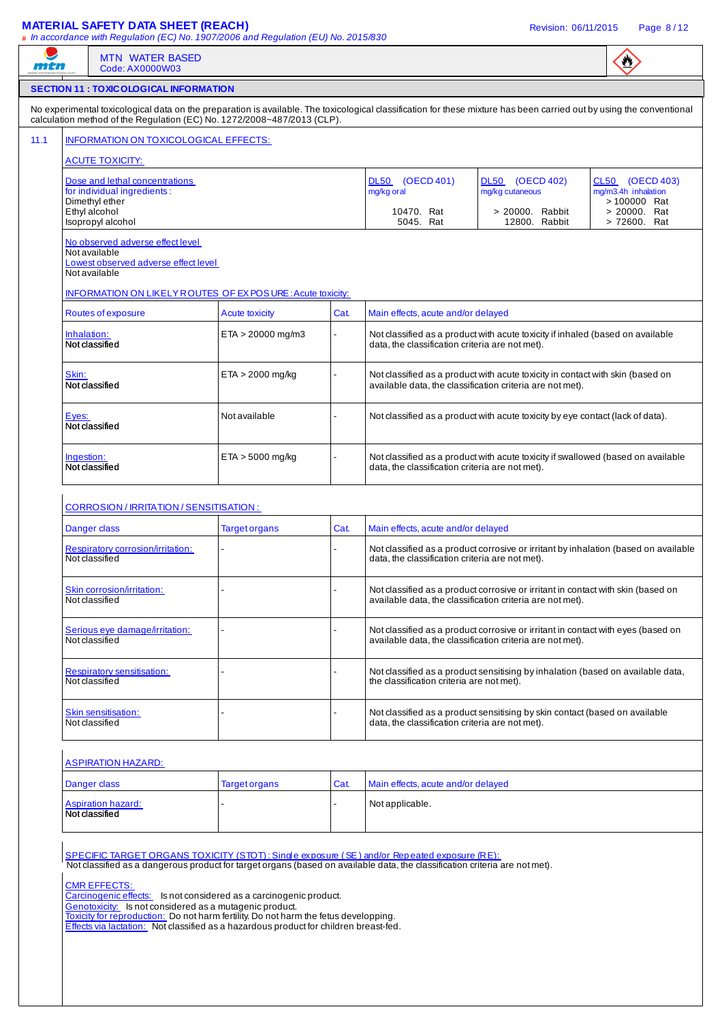# **MATERIAL SAFETY DATA SHEET (REACH) Revision: 06/11/2015** Page 8/12

| mth                                                                                                        | <b>MTN WATER BASED</b><br>Code: AX0000W03                                                                                                            |                                                                                      |      |                                                                                                                                                                                                                            |                                                                                                                                               | $\bullet$                           |  |
|------------------------------------------------------------------------------------------------------------|------------------------------------------------------------------------------------------------------------------------------------------------------|--------------------------------------------------------------------------------------|------|----------------------------------------------------------------------------------------------------------------------------------------------------------------------------------------------------------------------------|-----------------------------------------------------------------------------------------------------------------------------------------------|-------------------------------------|--|
|                                                                                                            | <b>SECTION 11 : TOXICOLOGICAL INFORMATION</b>                                                                                                        |                                                                                      |      |                                                                                                                                                                                                                            |                                                                                                                                               |                                     |  |
|                                                                                                            | calculation method of the Regulation (EC) No. 1272/2008~487/2013 (CLP).                                                                              |                                                                                      |      | No experimental toxicological data on the preparation is available. The toxicological classification for these mixture has been carried out by using the conventional                                                      |                                                                                                                                               |                                     |  |
|                                                                                                            | INFORMATION ON TOXICOLOGICAL EFFECTS:                                                                                                                |                                                                                      |      |                                                                                                                                                                                                                            |                                                                                                                                               |                                     |  |
|                                                                                                            | <b>ACUTE TOXICITY:</b>                                                                                                                               |                                                                                      |      |                                                                                                                                                                                                                            |                                                                                                                                               |                                     |  |
|                                                                                                            | Dose and lethal concentrations                                                                                                                       |                                                                                      |      | DL50 (OECD 401)                                                                                                                                                                                                            | DL50 (OECD 402)                                                                                                                               | CL50 (OECD 403)                     |  |
| Dimethyl ether                                                                                             | for individual ingredients:                                                                                                                          |                                                                                      |      | mg/kg oral                                                                                                                                                                                                                 | mg/kg cutaneous                                                                                                                               | mg/m3.4h inhalation<br>> 100000 Rat |  |
| Ethyl alcohol                                                                                              | Isopropyl alcohol                                                                                                                                    |                                                                                      |      | 10470. Rat<br>5045. Rat                                                                                                                                                                                                    | > 20000. Rabbit<br>12800. Rabbit                                                                                                              | > 20000. Rat<br>> 72600. Rat        |  |
| No observed adverse effect level<br>Not available<br>Lowest observed adverse effect level<br>Not available |                                                                                                                                                      |                                                                                      |      |                                                                                                                                                                                                                            |                                                                                                                                               |                                     |  |
| INFORMATION ON LIKELY ROUTES OF EX POSURE: Acute toxicity:                                                 |                                                                                                                                                      |                                                                                      |      |                                                                                                                                                                                                                            |                                                                                                                                               |                                     |  |
|                                                                                                            | Routes of exposure                                                                                                                                   | <b>Acute toxicity</b>                                                                | Cat. | Main effects, acute and/or delayed                                                                                                                                                                                         |                                                                                                                                               |                                     |  |
| Inhalation:<br>Not classified                                                                              |                                                                                                                                                      | $ETA > 20000$ mg/m3                                                                  |      | data, the classification criteria are not met).                                                                                                                                                                            | Not classified as a product with acute toxicity if inhaled (based on available                                                                |                                     |  |
| Skin:<br>Not classified                                                                                    |                                                                                                                                                      | $ETA > 2000$ mg/kg                                                                   |      |                                                                                                                                                                                                                            | Not classified as a product with acute toxicity in contact with skin (based on<br>available data, the classification criteria are not met).   |                                     |  |
| Eyes:<br>Not classified                                                                                    |                                                                                                                                                      | Not available                                                                        |      |                                                                                                                                                                                                                            | Not classified as a product with acute toxicity by eye contact (lack of data).                                                                |                                     |  |
| Ingestion:<br>Not classified                                                                               |                                                                                                                                                      | $ETA > 5000$ mg/kg                                                                   |      | data, the classification criteria are not met).                                                                                                                                                                            | Not classified as a product with acute toxicity if swallowed (based on available                                                              |                                     |  |
|                                                                                                            | <b>CORROSION / IRRITATION / SENSITISATION :</b>                                                                                                      |                                                                                      |      |                                                                                                                                                                                                                            |                                                                                                                                               |                                     |  |
| Danger class                                                                                               |                                                                                                                                                      | <b>Target organs</b>                                                                 | Cat. | Main effects, acute and/or delayed                                                                                                                                                                                         |                                                                                                                                               |                                     |  |
| Not classified                                                                                             | Respiratory corrosion/irritation:                                                                                                                    |                                                                                      |      | data, the classification criteria are not met).                                                                                                                                                                            | Not classified as a product corrosive or irritant by inhalation (based on available                                                           |                                     |  |
| Not classified                                                                                             | Skin corrosion/irritation:                                                                                                                           |                                                                                      |      |                                                                                                                                                                                                                            | Not classified as a product corrosive or irritant in contact with skin (based on<br>available data, the classification criteria are not met). |                                     |  |
| Not classified                                                                                             | Serious eye damage/irritation:                                                                                                                       |                                                                                      |      |                                                                                                                                                                                                                            | Not classified as a product corrosive or irritant in contact with eyes (based on<br>available data, the classification criteria are not met). |                                     |  |
| Not classified                                                                                             | <b>Respiratory sensitisation:</b>                                                                                                                    |                                                                                      |      | the classification criteria are not met).                                                                                                                                                                                  | Not classified as a product sensitising by inhalation (based on available data,                                                               |                                     |  |
| Not classified                                                                                             | Skin sensitisation:                                                                                                                                  |                                                                                      |      | data, the classification criteria are not met).                                                                                                                                                                            | Not classified as a product sensitising by skin contact (based on available                                                                   |                                     |  |
| <b>ASPIRATION HAZARD:</b>                                                                                  |                                                                                                                                                      |                                                                                      |      |                                                                                                                                                                                                                            |                                                                                                                                               |                                     |  |
| Danger class                                                                                               |                                                                                                                                                      | <b>Target organs</b>                                                                 | Cat. | Main effects, acute and/or delayed                                                                                                                                                                                         |                                                                                                                                               |                                     |  |
| Not classified                                                                                             | <b>Aspiration hazard:</b>                                                                                                                            |                                                                                      |      | Not applicable.                                                                                                                                                                                                            |                                                                                                                                               |                                     |  |
|                                                                                                            |                                                                                                                                                      |                                                                                      |      | SPECIFIC TARGET ORGANS TOXICITY (STOT): Single exposure (SE) and/or Repeated exposure (RE):<br>Not classified as a dangerous product for target organs (based on available data, the classification criteria are not met). |                                                                                                                                               |                                     |  |
|                                                                                                            | <b>CMR EFFECTS:</b><br>Carcinogenic effects: Is not considered as a carcinogenic product.<br>Genotoxicity: Is not considered as a mutagenic product. | Toxicity for reproduction: Do not harm fertility. Do not harm the fetus developping. |      |                                                                                                                                                                                                                            |                                                                                                                                               |                                     |  |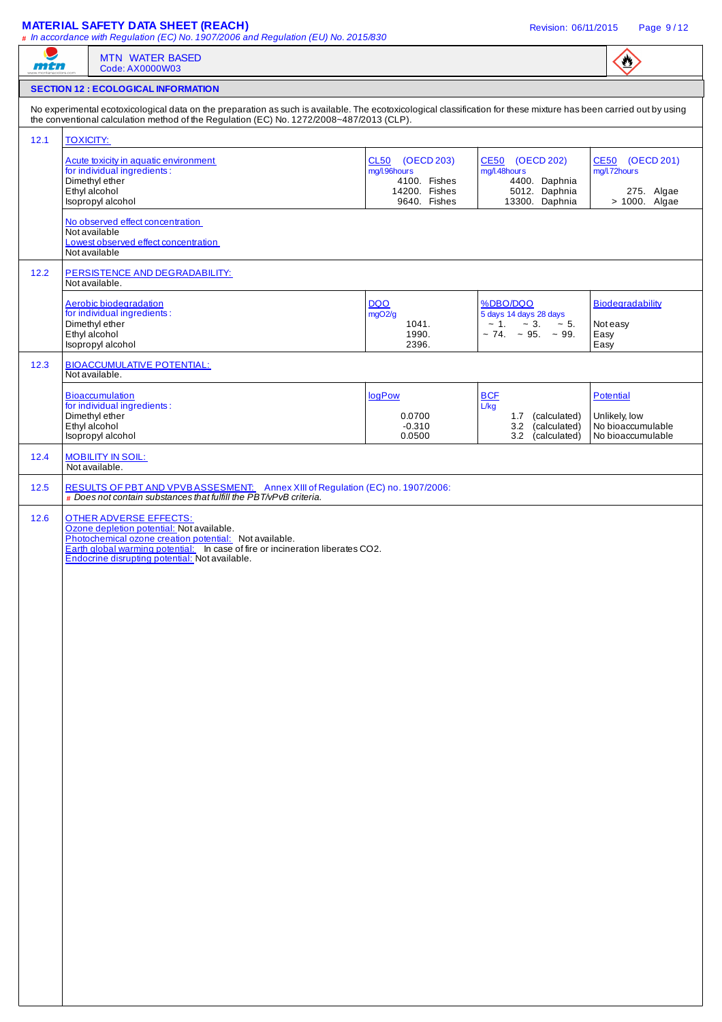## **MATERIAL SAFETY DATA SHEET (REACH) Revision: 06/11/2015** Page 9/12

|                      | Code: AX0000W03                                                                                                                                                                                                                                                                                                                                                                                                                                 |                                                                  |                                                                                                            |                                                                      |
|----------------------|-------------------------------------------------------------------------------------------------------------------------------------------------------------------------------------------------------------------------------------------------------------------------------------------------------------------------------------------------------------------------------------------------------------------------------------------------|------------------------------------------------------------------|------------------------------------------------------------------------------------------------------------|----------------------------------------------------------------------|
|                      | <b>SECTION 12 : ECOLOGICAL INFORMATION</b>                                                                                                                                                                                                                                                                                                                                                                                                      |                                                                  |                                                                                                            |                                                                      |
|                      | No experimental ecotoxicological data on the preparation as such is available. The ecotoxicological classification for these mixture has been carried out by using<br>the conventional calculation method of the Regulation (EC) No. 1272/2008~487/2013 (CLP).                                                                                                                                                                                  |                                                                  |                                                                                                            |                                                                      |
| 12.1                 | <b>TOXICITY:</b>                                                                                                                                                                                                                                                                                                                                                                                                                                |                                                                  |                                                                                                            |                                                                      |
|                      | Acute toxicity in aquatic environment<br>for individual ingredients:<br>Dimethyl ether<br>Ethyl alcohol                                                                                                                                                                                                                                                                                                                                         | CL50 (OECD 203)<br>mg/l.96hours<br>4100. Fishes<br>14200. Fishes | CE50 (OECD 202)<br>mg/l.48hours<br>4400. Daphnia<br>5012. Daphnia                                          | CE50 (OECD 201)<br>mg/l.72hours<br>275. Algae                        |
|                      | Isopropyl alcohol<br>No observed effect concentration<br>Not available<br>Lowest observed effect concentration<br>Not available                                                                                                                                                                                                                                                                                                                 | 9640. Fishes                                                     | 13300. Daphnia                                                                                             | > 1000. Algae                                                        |
| $12.2$               | PERSISTENCE AND DEGRADABILITY:<br>Not available.                                                                                                                                                                                                                                                                                                                                                                                                |                                                                  |                                                                                                            |                                                                      |
|                      | Aerobic biodegradation<br>for individual ingredients :<br>Dimethyl ether<br>Ethyl alcohol<br>Isopropyl alcohol                                                                                                                                                                                                                                                                                                                                  | <b>DQO</b><br>mgO2/g<br>1041.<br>1990.<br>2396.                  | %DBO/DQO<br>5 days 14 days 28 days<br>$\sim 1.$ $\sim 3.$<br>$\sim$ 5.<br>$\sim$ 74. $\sim$ 95. $\sim$ 99. | <b>Biodegradability</b><br>Not easy<br>Easy<br>Easy                  |
| 12.3                 | <b>BIOACCUMULATIVE POTENTIAL:</b><br>Not available.                                                                                                                                                                                                                                                                                                                                                                                             |                                                                  |                                                                                                            |                                                                      |
|                      | <b>Bioaccumulation</b><br>for individual ingredients:<br>Dimethyl ether<br>Ethyl alcohol<br>Isopropyl alcohol                                                                                                                                                                                                                                                                                                                                   | logPow<br>0.0700<br>$-0.310$<br>0.0500                           | <b>BCF</b><br>L/kg<br>1.7 (calculated)<br>3.2 (calculated)<br>3.2 (calculated)                             | Potential<br>Unlikely, low<br>No bioaccumulable<br>No bioaccumulable |
|                      |                                                                                                                                                                                                                                                                                                                                                                                                                                                 |                                                                  |                                                                                                            |                                                                      |
|                      | <b>MOBILITY IN SOIL:</b><br>Not available.                                                                                                                                                                                                                                                                                                                                                                                                      |                                                                  |                                                                                                            |                                                                      |
| 12.4<br>12.5<br>12.6 | RESULTS OF PBT AND VPVBASSESMENT: Annex XIII of Regulation (EC) no. 1907/2006:<br>$#$ Does not contain substances that fulfill the PBT/ $\vee$ P $\vee$ B criteria.<br><b>OTHER ADVERSE EFFECTS:</b><br>Ozone depletion potential: Not available.<br>Photochemical ozone creation potential: Not available.<br>Earth global warming potential: In case of fire or incineration liberates CO2.<br>Endocrine disrupting potential: Not available. |                                                                  |                                                                                                            |                                                                      |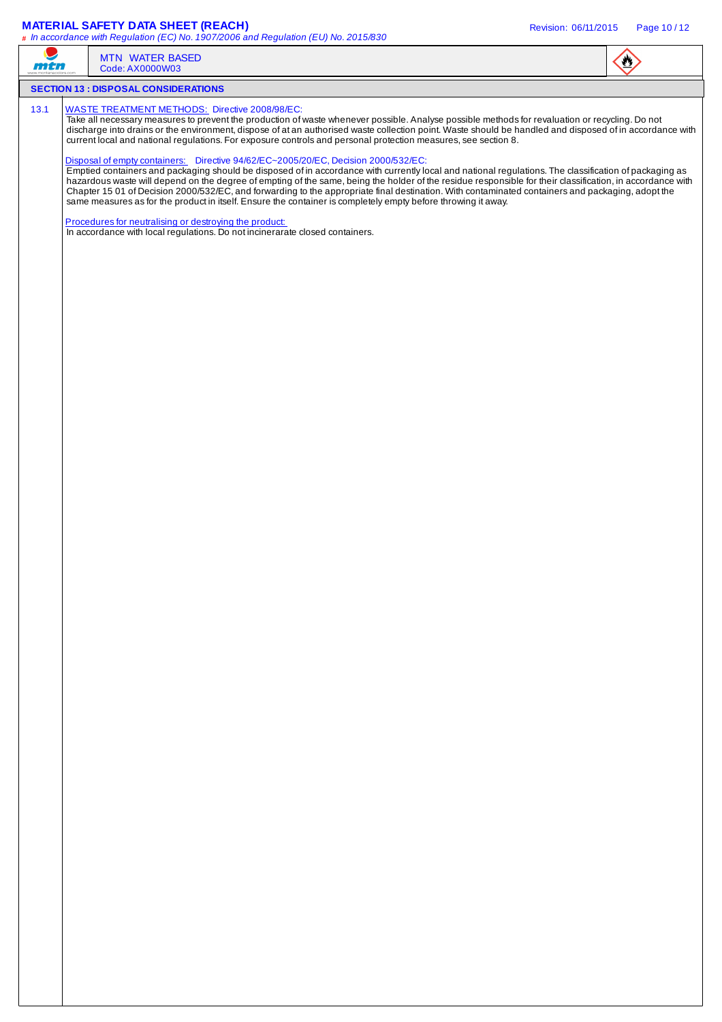## **MATERIAL SAFETY DATA SHEET (REACH)** Revision: 06/11/2015 Page 10 / 12

| n i di | <b>MTN WATER BASED</b><br>Code: AX0000W03                                                                                                                                                                                                                                                                                                                                                                                                                                                                                                                                                                                                                                        | $\bullet$ |
|--------|----------------------------------------------------------------------------------------------------------------------------------------------------------------------------------------------------------------------------------------------------------------------------------------------------------------------------------------------------------------------------------------------------------------------------------------------------------------------------------------------------------------------------------------------------------------------------------------------------------------------------------------------------------------------------------|-----------|
|        | <b>SECTION 13 : DISPOSAL CONSIDERATIONS</b>                                                                                                                                                                                                                                                                                                                                                                                                                                                                                                                                                                                                                                      |           |
| 13.1   | <b>WASTE TREATMENT METHODS:</b> Directive 2008/98/EC:<br>Take all necessary measures to prevent the production of waste whenever possible. Analyse possible methods for revaluation or recycling. Do not<br>discharge into drains or the environment, dispose of at an authorised waste collection point. Waste should be handled and disposed of in accordance with<br>current local and national regulations. For exposure controls and personal protection measures, see section 8.                                                                                                                                                                                           |           |
|        | Disposal of empty containers: Directive 94/62/EC~2005/20/EC, Decision 2000/532/EC:<br>Emptied containers and packaging should be disposed of in accordance with currently local and national regulations. The classification of packaging as<br>hazardous waste will depend on the degree of empting of the same, being the holder of the residue responsible for their classification, in accordance with<br>Chapter 15 01 of Decision 2000/532/EC, and forwarding to the appropriate final destination. With contaminated containers and packaging, adopt the<br>same measures as for the product in itself. Ensure the container is completely empty before throwing it away. |           |
|        | Procedures for neutralising or destroying the product:<br>In accordance with local regulations. Do not incinerarate closed containers.                                                                                                                                                                                                                                                                                                                                                                                                                                                                                                                                           |           |
|        |                                                                                                                                                                                                                                                                                                                                                                                                                                                                                                                                                                                                                                                                                  |           |
|        |                                                                                                                                                                                                                                                                                                                                                                                                                                                                                                                                                                                                                                                                                  |           |
|        |                                                                                                                                                                                                                                                                                                                                                                                                                                                                                                                                                                                                                                                                                  |           |
|        |                                                                                                                                                                                                                                                                                                                                                                                                                                                                                                                                                                                                                                                                                  |           |
|        |                                                                                                                                                                                                                                                                                                                                                                                                                                                                                                                                                                                                                                                                                  |           |
|        |                                                                                                                                                                                                                                                                                                                                                                                                                                                                                                                                                                                                                                                                                  |           |
|        |                                                                                                                                                                                                                                                                                                                                                                                                                                                                                                                                                                                                                                                                                  |           |
|        |                                                                                                                                                                                                                                                                                                                                                                                                                                                                                                                                                                                                                                                                                  |           |
|        |                                                                                                                                                                                                                                                                                                                                                                                                                                                                                                                                                                                                                                                                                  |           |
|        |                                                                                                                                                                                                                                                                                                                                                                                                                                                                                                                                                                                                                                                                                  |           |
|        |                                                                                                                                                                                                                                                                                                                                                                                                                                                                                                                                                                                                                                                                                  |           |
|        |                                                                                                                                                                                                                                                                                                                                                                                                                                                                                                                                                                                                                                                                                  |           |
|        |                                                                                                                                                                                                                                                                                                                                                                                                                                                                                                                                                                                                                                                                                  |           |
|        |                                                                                                                                                                                                                                                                                                                                                                                                                                                                                                                                                                                                                                                                                  |           |
|        |                                                                                                                                                                                                                                                                                                                                                                                                                                                                                                                                                                                                                                                                                  |           |
|        |                                                                                                                                                                                                                                                                                                                                                                                                                                                                                                                                                                                                                                                                                  |           |
|        |                                                                                                                                                                                                                                                                                                                                                                                                                                                                                                                                                                                                                                                                                  |           |
|        |                                                                                                                                                                                                                                                                                                                                                                                                                                                                                                                                                                                                                                                                                  |           |
|        |                                                                                                                                                                                                                                                                                                                                                                                                                                                                                                                                                                                                                                                                                  |           |
|        |                                                                                                                                                                                                                                                                                                                                                                                                                                                                                                                                                                                                                                                                                  |           |
|        |                                                                                                                                                                                                                                                                                                                                                                                                                                                                                                                                                                                                                                                                                  |           |
|        |                                                                                                                                                                                                                                                                                                                                                                                                                                                                                                                                                                                                                                                                                  |           |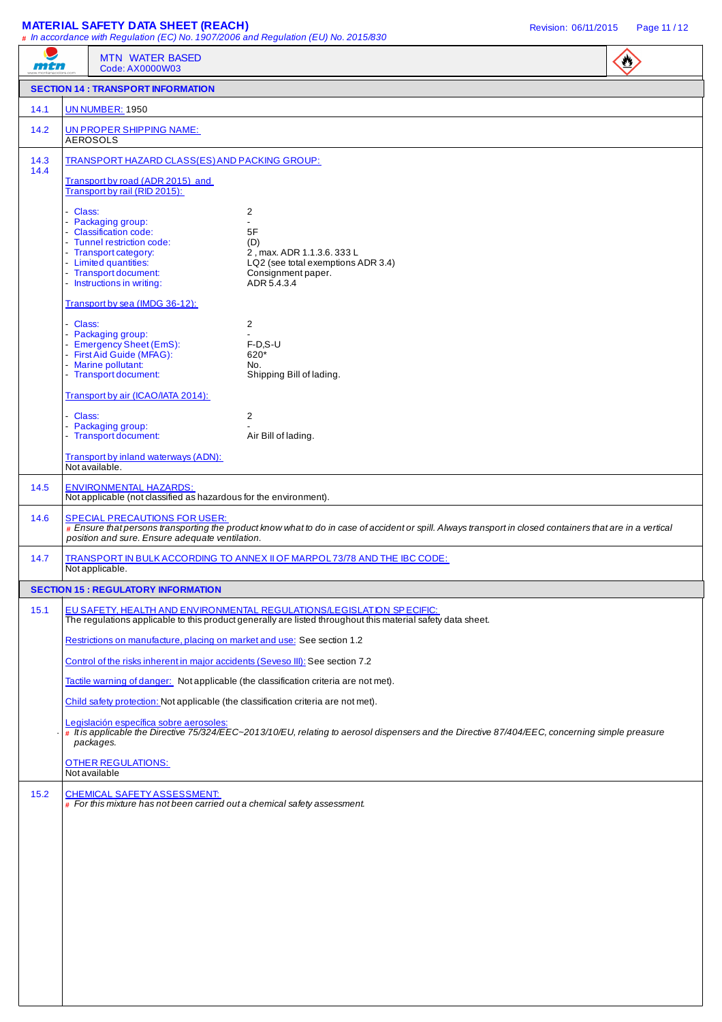| <b>UN NUMBER: 1950</b><br>14.1<br>14.2<br><b>AEROSOLS</b><br>14.3<br>14.4<br>- Class:<br>Packaging group:<br>- Classification code:<br>- Tunnel restriction code:<br>- Transport category:<br>- Limited quantities:<br>- Transport document:<br>- Instructions in writing:<br>Class:<br>- Packaging group:<br>- First Aid Guide (MFAG):<br>- Marine pollutant:<br>- Transport document:<br>- Class:<br>- Packaging group:<br>- Transport document:<br>Not available.<br>14.5<br>14.6<br>14.7<br>Not applicable.<br>15.1 | 2<br>$\overline{a}$<br>5F<br>(D)<br>2, max. ADR 1.1.3.6. 333 L<br>LQ2 (see total exemptions ADR 3.4)<br>Consignment paper.<br>ADR 5.4.3.4<br>2<br>$F-D, S-U$<br>620*<br>No.<br>Shipping Bill of lading.<br>2<br>Air Bill of lading. | TRANSPORT HAZARD CLASS(ES) AND PACKING GROUP:<br>Not applicable (not classified as hazardous for the environment).<br># Ensure that persons transporting the product know what to do in case of accident or spill. Always transport in closed containers that are in a vertical<br>TRANSPORT IN BULK ACCORDING TO ANNEX II OF MARPOL73/78 AND THE IBC CODE:<br>EU SAFETY, HEALTH AND ENVIRONMENTAL REGULATIONS/LEGISLATION SPECIFIC:<br>The regulations applicable to this product generally are listed throughout this material safety data sheet.<br>Restrictions on manufacture, placing on market and use: See section 1.2<br>Control of the risks inherent in major accidents (Seveso III): See section 7.2<br>Tactile warning of danger: Not applicable (the classification criteria are not met).<br>Child safety protection: Not applicable (the classification criteria are not met).<br># It is applicable the Directive 75/324/EEC~2013/10/EU, relating to aerosol dispensers and the Directive 87/404/EEC, concerning simple preasure<br>$\#$ For this mixture has not been carried out a chemical safety assessment. |        | <b>MTN WATER BASED</b><br>mtn<br>Code: AX0000W03                                        | $\bigcirc$ |
|-------------------------------------------------------------------------------------------------------------------------------------------------------------------------------------------------------------------------------------------------------------------------------------------------------------------------------------------------------------------------------------------------------------------------------------------------------------------------------------------------------------------------|-------------------------------------------------------------------------------------------------------------------------------------------------------------------------------------------------------------------------------------|-----------------------------------------------------------------------------------------------------------------------------------------------------------------------------------------------------------------------------------------------------------------------------------------------------------------------------------------------------------------------------------------------------------------------------------------------------------------------------------------------------------------------------------------------------------------------------------------------------------------------------------------------------------------------------------------------------------------------------------------------------------------------------------------------------------------------------------------------------------------------------------------------------------------------------------------------------------------------------------------------------------------------------------------------------------------------------------------------------------------------------------|--------|-----------------------------------------------------------------------------------------|------------|
|                                                                                                                                                                                                                                                                                                                                                                                                                                                                                                                         |                                                                                                                                                                                                                                     |                                                                                                                                                                                                                                                                                                                                                                                                                                                                                                                                                                                                                                                                                                                                                                                                                                                                                                                                                                                                                                                                                                                                   |        | <b>SECTION 14 : TRANSPORT INFORMATION</b>                                               |            |
|                                                                                                                                                                                                                                                                                                                                                                                                                                                                                                                         |                                                                                                                                                                                                                                     |                                                                                                                                                                                                                                                                                                                                                                                                                                                                                                                                                                                                                                                                                                                                                                                                                                                                                                                                                                                                                                                                                                                                   |        |                                                                                         |            |
|                                                                                                                                                                                                                                                                                                                                                                                                                                                                                                                         |                                                                                                                                                                                                                                     |                                                                                                                                                                                                                                                                                                                                                                                                                                                                                                                                                                                                                                                                                                                                                                                                                                                                                                                                                                                                                                                                                                                                   |        | UN PROPER SHIPPING NAME:                                                                |            |
|                                                                                                                                                                                                                                                                                                                                                                                                                                                                                                                         |                                                                                                                                                                                                                                     |                                                                                                                                                                                                                                                                                                                                                                                                                                                                                                                                                                                                                                                                                                                                                                                                                                                                                                                                                                                                                                                                                                                                   |        |                                                                                         |            |
|                                                                                                                                                                                                                                                                                                                                                                                                                                                                                                                         |                                                                                                                                                                                                                                     |                                                                                                                                                                                                                                                                                                                                                                                                                                                                                                                                                                                                                                                                                                                                                                                                                                                                                                                                                                                                                                                                                                                                   |        | Transport by road (ADR 2015) and<br>Transport by rail (RID 2015):                       |            |
|                                                                                                                                                                                                                                                                                                                                                                                                                                                                                                                         |                                                                                                                                                                                                                                     |                                                                                                                                                                                                                                                                                                                                                                                                                                                                                                                                                                                                                                                                                                                                                                                                                                                                                                                                                                                                                                                                                                                                   |        |                                                                                         |            |
|                                                                                                                                                                                                                                                                                                                                                                                                                                                                                                                         |                                                                                                                                                                                                                                     |                                                                                                                                                                                                                                                                                                                                                                                                                                                                                                                                                                                                                                                                                                                                                                                                                                                                                                                                                                                                                                                                                                                                   |        | Transport by sea (IMDG 36-12):                                                          |            |
|                                                                                                                                                                                                                                                                                                                                                                                                                                                                                                                         |                                                                                                                                                                                                                                     |                                                                                                                                                                                                                                                                                                                                                                                                                                                                                                                                                                                                                                                                                                                                                                                                                                                                                                                                                                                                                                                                                                                                   |        | - Emergency Sheet (EmS):                                                                |            |
|                                                                                                                                                                                                                                                                                                                                                                                                                                                                                                                         |                                                                                                                                                                                                                                     |                                                                                                                                                                                                                                                                                                                                                                                                                                                                                                                                                                                                                                                                                                                                                                                                                                                                                                                                                                                                                                                                                                                                   |        | Transport by air (ICAO/IATA 2014):                                                      |            |
|                                                                                                                                                                                                                                                                                                                                                                                                                                                                                                                         |                                                                                                                                                                                                                                     |                                                                                                                                                                                                                                                                                                                                                                                                                                                                                                                                                                                                                                                                                                                                                                                                                                                                                                                                                                                                                                                                                                                                   |        |                                                                                         |            |
|                                                                                                                                                                                                                                                                                                                                                                                                                                                                                                                         |                                                                                                                                                                                                                                     |                                                                                                                                                                                                                                                                                                                                                                                                                                                                                                                                                                                                                                                                                                                                                                                                                                                                                                                                                                                                                                                                                                                                   |        | Transport by inland waterways (ADN):                                                    |            |
|                                                                                                                                                                                                                                                                                                                                                                                                                                                                                                                         |                                                                                                                                                                                                                                     |                                                                                                                                                                                                                                                                                                                                                                                                                                                                                                                                                                                                                                                                                                                                                                                                                                                                                                                                                                                                                                                                                                                                   |        | <b>ENVIRONMENTAL HAZARDS:</b>                                                           |            |
|                                                                                                                                                                                                                                                                                                                                                                                                                                                                                                                         |                                                                                                                                                                                                                                     |                                                                                                                                                                                                                                                                                                                                                                                                                                                                                                                                                                                                                                                                                                                                                                                                                                                                                                                                                                                                                                                                                                                                   |        | <b>SPECIAL PRECAUTIONS FOR USER:</b><br>position and sure. Ensure adequate ventilation. |            |
|                                                                                                                                                                                                                                                                                                                                                                                                                                                                                                                         |                                                                                                                                                                                                                                     |                                                                                                                                                                                                                                                                                                                                                                                                                                                                                                                                                                                                                                                                                                                                                                                                                                                                                                                                                                                                                                                                                                                                   |        |                                                                                         |            |
|                                                                                                                                                                                                                                                                                                                                                                                                                                                                                                                         |                                                                                                                                                                                                                                     |                                                                                                                                                                                                                                                                                                                                                                                                                                                                                                                                                                                                                                                                                                                                                                                                                                                                                                                                                                                                                                                                                                                                   |        | <b>SECTION 15 : REGULATORY INFORMATION</b>                                              |            |
|                                                                                                                                                                                                                                                                                                                                                                                                                                                                                                                         |                                                                                                                                                                                                                                     |                                                                                                                                                                                                                                                                                                                                                                                                                                                                                                                                                                                                                                                                                                                                                                                                                                                                                                                                                                                                                                                                                                                                   |        |                                                                                         |            |
|                                                                                                                                                                                                                                                                                                                                                                                                                                                                                                                         |                                                                                                                                                                                                                                     |                                                                                                                                                                                                                                                                                                                                                                                                                                                                                                                                                                                                                                                                                                                                                                                                                                                                                                                                                                                                                                                                                                                                   |        |                                                                                         |            |
|                                                                                                                                                                                                                                                                                                                                                                                                                                                                                                                         |                                                                                                                                                                                                                                     |                                                                                                                                                                                                                                                                                                                                                                                                                                                                                                                                                                                                                                                                                                                                                                                                                                                                                                                                                                                                                                                                                                                                   |        |                                                                                         |            |
|                                                                                                                                                                                                                                                                                                                                                                                                                                                                                                                         |                                                                                                                                                                                                                                     |                                                                                                                                                                                                                                                                                                                                                                                                                                                                                                                                                                                                                                                                                                                                                                                                                                                                                                                                                                                                                                                                                                                                   |        |                                                                                         |            |
|                                                                                                                                                                                                                                                                                                                                                                                                                                                                                                                         |                                                                                                                                                                                                                                     |                                                                                                                                                                                                                                                                                                                                                                                                                                                                                                                                                                                                                                                                                                                                                                                                                                                                                                                                                                                                                                                                                                                                   |        |                                                                                         |            |
|                                                                                                                                                                                                                                                                                                                                                                                                                                                                                                                         |                                                                                                                                                                                                                                     |                                                                                                                                                                                                                                                                                                                                                                                                                                                                                                                                                                                                                                                                                                                                                                                                                                                                                                                                                                                                                                                                                                                                   |        | Legislación específica sobre aerosoles:<br>packages.                                    |            |
| <b>OTHER REGULATIONS:</b><br>Not available                                                                                                                                                                                                                                                                                                                                                                                                                                                                              |                                                                                                                                                                                                                                     |                                                                                                                                                                                                                                                                                                                                                                                                                                                                                                                                                                                                                                                                                                                                                                                                                                                                                                                                                                                                                                                                                                                                   |        |                                                                                         |            |
|                                                                                                                                                                                                                                                                                                                                                                                                                                                                                                                         |                                                                                                                                                                                                                                     |                                                                                                                                                                                                                                                                                                                                                                                                                                                                                                                                                                                                                                                                                                                                                                                                                                                                                                                                                                                                                                                                                                                                   |        |                                                                                         |            |
|                                                                                                                                                                                                                                                                                                                                                                                                                                                                                                                         |                                                                                                                                                                                                                                     |                                                                                                                                                                                                                                                                                                                                                                                                                                                                                                                                                                                                                                                                                                                                                                                                                                                                                                                                                                                                                                                                                                                                   | $15.2$ | <b>CHEMICAL SAFETY ASSESSMENT:</b>                                                      |            |
|                                                                                                                                                                                                                                                                                                                                                                                                                                                                                                                         |                                                                                                                                                                                                                                     |                                                                                                                                                                                                                                                                                                                                                                                                                                                                                                                                                                                                                                                                                                                                                                                                                                                                                                                                                                                                                                                                                                                                   |        |                                                                                         |            |
|                                                                                                                                                                                                                                                                                                                                                                                                                                                                                                                         |                                                                                                                                                                                                                                     |                                                                                                                                                                                                                                                                                                                                                                                                                                                                                                                                                                                                                                                                                                                                                                                                                                                                                                                                                                                                                                                                                                                                   |        |                                                                                         |            |